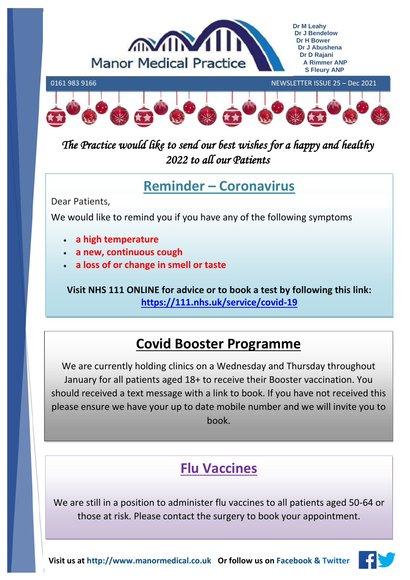



*The Practice would like to send our best wishes for a happy and healthy 2022 to all our Patients* 

# **Reminder – Coronavirus**

Dear Patients,

We would like to remind you if you have any of the following symptoms

- **a high temperature**
- **a new, continuous cough**
- **a loss of or change in smell or taste**

**Visit NHS 111 ONLINE for advice or to book a test by following this link: <https://111.nhs.uk/service/covid-19>**

# **Covid Booster Programme**

We are currently holding clinics on a Wednesday and Thursday throughout January for all patients aged 18+ to receive their Booster vaccination. You should received a text message with a link to book. If you have not received this please ensure we have your up to date mobile number and we will invite you to book.

# **Flu Vaccines**

We are still in a position to administer flu vaccines to all patients aged 50-64 or those at risk. Please contact the surgery to book your appointment.

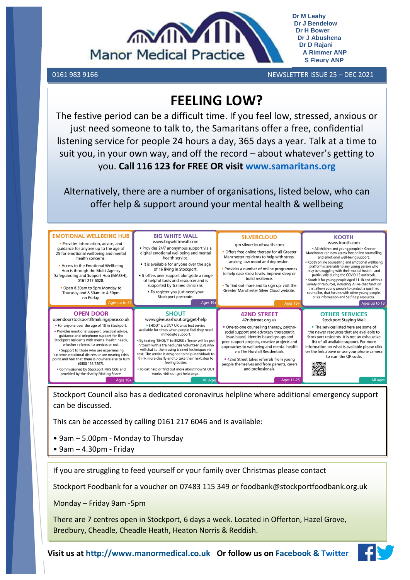

0161 983 9166 NEWSLETTER ISSUE 25 – DEC 2021 

**Dr M Leahy Dr J Bendelow Dr H Bower Dr J Abushena Dr D Rajani A Rimmer ANP S Fleury ANP**

# **FEELING LOW?**

The festive period can be a difficult time. If you feel low, stressed, anxious or just need someone to talk to, the Samaritans offer a free, confidential listening service for people 24 hours a day, 365 days a year. Talk at a time to suit you, in your own way, and off the record – about whatever's getting to you. **Call 116 123 for FREE OR visit [www.samaritans.org](http://www.samaritans.org/)**

Alternatively, there are a number of organisations, listed below, who can offer help & support around your mental health & wellbeing



Stockport Council also has a dedicated coronavirus helpline where additional emergency support can be discussed.

This can be accessed by calling 0161 217 6046 and is available:

- 9am 5.00pm Monday to Thursday
- 9am 4.30pm Friday

If you are struggling to feed yourself or your family over Christmas please contact

Stockport Foodbank for a voucher on 07483 115 349 or foodbank@stockportfoodbank.org.uk

Monday – Friday 9am -5pm

There are 7 centres open in Stockport, 6 days a week. Located in Offerton, Hazel Grove, Bredbury, Cheadle, Cheadle Heath, Heaton Norris & Reddish.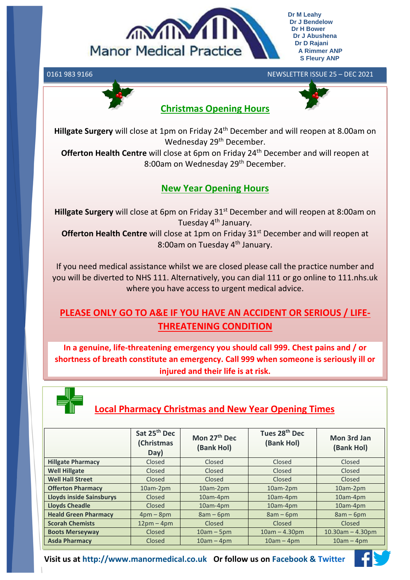

**Dr M Leahy Dr J Bendelow Dr H Bower Dr J Abushena Dr D Rajani A Rimmer ANP S Fleury ANP**

#### 0161 983 9166 NEWSLETTER ISSUE 25 – DEC 2021

**Christmas Opening Hours**



**Hillgate Surgery** will close at 1pm on Friday 24<sup>th</sup> December and will reopen at 8.00am on Wednesday 29<sup>th</sup> December.

**Offerton Health Centre** will close at 6pm on Friday 24<sup>th</sup> December and will reopen at 8:00am on Wednesday 29<sup>th</sup> December.

#### **New Year Opening Hours**

**Hillgate Surgery** will close at 6pm on Friday 31<sup>st</sup> December and will reopen at 8:00am on Tuesday 4<sup>th</sup> January.

**Offerton Health Centre** will close at 1pm on Friday 31<sup>st</sup> December and will reopen at 8:00am on Tuesday 4<sup>th</sup> January.

If you need medical assistance whilst we are closed please call the practice number and you will be diverted to NHS 111. Alternatively, you can dial 111 or go online to 111.nhs.uk where you have access to urgent medical advice.

#### **PLEASE ONLY GO TO A&E IF YOU HAVE AN ACCIDENT OR SERIOUS / LIFE-THREATENING CONDITION**

**In a genuine, life-threatening emergency you should call 999. Chest pains and / or shortness of breath constitute an emergency. Call 999 when someone is seriously ill or injured and their life is at risk.**



### **Local Pharmacy Christmas and New Year Opening Times**

|                             | Sat 25 <sup>th</sup> Dec<br>(Christmas<br>Day) | Mon 27 <sup>th</sup> Dec<br>(Bank Hol) | Tues 28 <sup>th</sup> Dec<br>(Bank Hol) | Mon 3rd Jan<br>(Bank Hol) |
|-----------------------------|------------------------------------------------|----------------------------------------|-----------------------------------------|---------------------------|
| <b>Hillgate Pharmacy</b>    | Closed                                         | Closed                                 | Closed                                  | Closed                    |
| <b>Well Hillgate</b>        | Closed                                         | Closed                                 | Closed                                  | Closed                    |
| <b>Well Hall Street</b>     | Closed                                         | Closed                                 | Closed                                  | Closed                    |
| <b>Offerton Pharmacy</b>    | 10am-2pm                                       | 10am-2pm                               | 10am-2pm                                | 10am-2pm                  |
| Lloyds inside Sainsburys    | Closed                                         | 10am-4pm                               | 10am-4pm                                | 10am-4pm                  |
| <b>Lloyds Cheadle</b>       | Closed                                         | 10am-4pm                               | 10am-4pm                                | 10am-4pm                  |
| <b>Heald Green Pharmacy</b> | $4pm-8pm$                                      | $8am - 6pm$                            | $8am - 6pm$                             | $8am - 6pm$               |
| <b>Scorah Chemists</b>      | $12pm - 4pm$                                   | Closed                                 | Closed                                  | <b>Closed</b>             |
| <b>Boots Merseyway</b>      | Closed                                         | $10am - 5pm$                           | $10am - 4.30pm$                         | $10.30$ am $- 4.30$ pm    |
| <b>Asda Pharmacy</b>        | Closed                                         | $10am - 4pm$                           | $10am - 4pm$                            | $10am - 4pm$              |